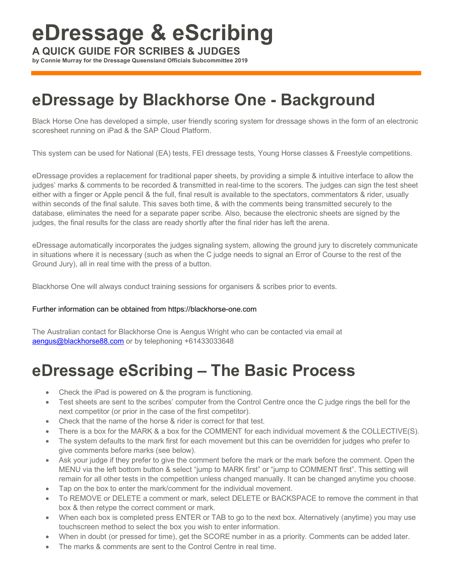# **eDressage & eScribing**

**A QUICK GUIDE FOR SCRIBES & JUDGES**

**by Connie Murray for the Dressage Queensland Officials Subcommittee 2019**

### **eDressage by Blackhorse One - Background**

Black Horse One has developed a simple, user friendly scoring system for dressage shows in the form of an electronic scoresheet running on iPad & the SAP Cloud Platform.

This system can be used for National (EA) tests, FEI dressage tests, Young Horse classes & Freestyle competitions.

eDressage provides a replacement for traditional paper sheets, by providing a simple & intuitive interface to allow the judges' marks & comments to be recorded & transmitted in real-time to the scorers. The judges can sign the test sheet either with a finger or Apple pencil & the full, final result is available to the spectators, commentators & rider, usually within seconds of the final salute. This saves both time, & with the comments being transmitted securely to the database, eliminates the need for a separate paper scribe. Also, because the electronic sheets are signed by the judges, the final results for the class are ready shortly after the final rider has left the arena.

eDressage automatically incorporates the judges signaling system, allowing the ground jury to discretely communicate in situations where it is necessary (such as when the C judge needs to signal an Error of Course to the rest of the Ground Jury), all in real time with the press of a button.

Blackhorse One will always conduct training sessions for organisers & scribes prior to events.

#### Further information can be obtained from https://blackhorse-one.com

The Australian contact for Blackhorse One is Aengus Wright who can be contacted via email at aengus@blackhorse88.com or by telephoning +61433033648

### **eDressage eScribing – The Basic Process**

- Check the iPad is powered on & the program is functioning.
- Test sheets are sent to the scribes' computer from the Control Centre once the C judge rings the bell for the next competitor (or prior in the case of the first competitor).
- Check that the name of the horse & rider is correct for that test.
- There is a box for the MARK & a box for the COMMENT for each individual movement & the COLLECTIVE(S).
- The system defaults to the mark first for each movement but this can be overridden for judges who prefer to give comments before marks (see below).
- Ask your judge if they prefer to give the comment before the mark or the mark before the comment. Open the MENU via the left bottom button & select "jump to MARK first" or "jump to COMMENT first". This setting will remain for all other tests in the competition unless changed manually. It can be changed anytime you choose.
- Tap on the box to enter the mark/comment for the individual movement.
- To REMOVE or DELETE a comment or mark, select DELETE or BACKSPACE to remove the comment in that box & then retype the correct comment or mark.
- When each box is completed press ENTER or TAB to go to the next box. Alternatively (anytime) you may use touchscreen method to select the box you wish to enter information.
- When in doubt (or pressed for time), get the SCORE number in as a priority. Comments can be added later.
- The marks & comments are sent to the Control Centre in real time.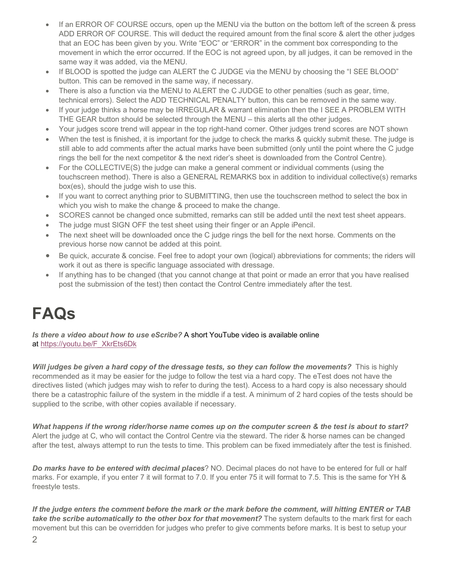- If an ERROR OF COURSE occurs, open up the MENU via the button on the bottom left of the screen & press ADD ERROR OF COURSE. This will deduct the required amount from the final score & alert the other judges that an EOC has been given by you. Write "EOC" or "ERROR" in the comment box corresponding to the movement in which the error occurred. If the EOC is not agreed upon, by all judges, it can be removed in the same way it was added, via the MENU.
- If BLOOD is spotted the judge can ALERT the C JUDGE via the MENU by choosing the "I SEE BLOOD" button. This can be removed in the same way, if necessary.
- There is also a function via the MENU to ALERT the C JUDGE to other penalties (such as gear, time, technical errors). Select the ADD TECHNICAL PENALTY button, this can be removed in the same way.
- If your judge thinks a horse may be IRREGULAR & warrant elimination then the I SEE A PROBLEM WITH THE GEAR button should be selected through the MENU – this alerts all the other judges.
- Your judges score trend will appear in the top right-hand corner. Other judges trend scores are NOT shown
- When the test is finished, it is important for the judge to check the marks & quickly submit these. The judge is still able to add comments after the actual marks have been submitted (only until the point where the C judge rings the bell for the next competitor & the next rider's sheet is downloaded from the Control Centre).
- For the COLLECTIVE(S) the judge can make a general comment or individual comments (using the touchscreen method). There is also a GENERAL REMARKS box in addition to individual collective(s) remarks box(es), should the judge wish to use this.
- If you want to correct anything prior to SUBMITTING, then use the touchscreen method to select the box in which you wish to make the change & proceed to make the change.
- SCORES cannot be changed once submitted, remarks can still be added until the next test sheet appears.
- The judge must SIGN OFF the test sheet using their finger or an Apple iPencil.
- The next sheet will be downloaded once the C judge rings the bell for the next horse. Comments on the previous horse now cannot be added at this point.
- Be quick, accurate & concise. Feel free to adopt your own (logical) abbreviations for comments; the riders will work it out as there is specific language associated with dressage.
- If anything has to be changed (that you cannot change at that point or made an error that you have realised post the submission of the test) then contact the Control Centre immediately after the test.

## **FAQs**

*Is there a video about how to use eScribe?* A short YouTube video is available online at https://youtu.be/F\_XkrEts6Dk

*Will judges be given a hard copy of the dressage tests, so they can follow the movements?* This is highly recommended as it may be easier for the judge to follow the test via a hard copy. The eTest does not have the directives listed (which judges may wish to refer to during the test). Access to a hard copy is also necessary should there be a catastrophic failure of the system in the middle if a test. A minimum of 2 hard copies of the tests should be supplied to the scribe, with other copies available if necessary.

*What happens if the wrong rider/horse name comes up on the computer screen & the test is about to start?* Alert the judge at C, who will contact the Control Centre via the steward. The rider & horse names can be changed after the test, always attempt to run the tests to time. This problem can be fixed immediately after the test is finished.

*Do marks have to be entered with decimal places*? NO. Decimal places do not have to be entered for full or half marks. For example, if you enter 7 it will format to 7.0. If you enter 75 it will format to 7.5. This is the same for YH & freestyle tests.

*If the judge enters the comment before the mark or the mark before the comment, will hitting ENTER or TAB take the scribe automatically to the other box for that movement?* The system defaults to the mark first for each movement but this can be overridden for judges who prefer to give comments before marks. It is best to setup your